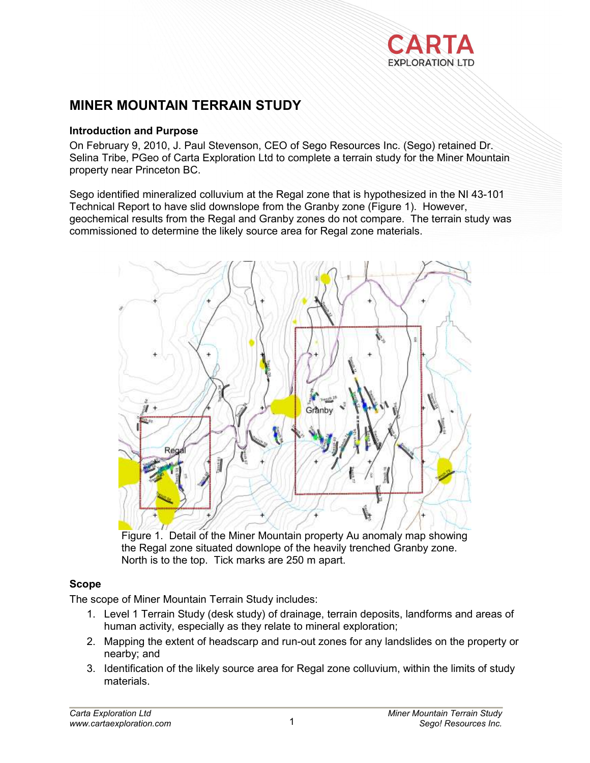

# **MINER MOUNTAIN TERRAIN STUDY**

#### **Introduction and Purpose**

On February 9, 2010, J. Paul Stevenson, CEO of Sego Resources Inc. (Sego) retained Dr. Selina Tribe, PGeo of Carta Exploration Ltd to complete a terrain study for the Miner Mountain property near Princeton BC.

Sego identified mineralized colluvium at the Regal zone that is hypothesized in the NI 43-101 Technical Report to have slid downslope from the Granby zone (Figure 1). However, geochemical results from the Regal and Granby zones do not compare. The terrain study was commissioned to determine the likely source area for Regal zone materials.



Figure 1. Detail of the Miner Mountain property Au anomaly map showing the Regal zone situated downlope of the heavily trenched Granby zone. North is to the top. Tick marks are 250 m apart.

# **Scope**

The scope of Miner Mountain Terrain Study includes:

- 1. Level 1 Terrain Study (desk study) of drainage, terrain deposits, landforms and areas of human activity, especially as they relate to mineral exploration;
- 2. Mapping the extent of headscarp and run-out zones for any landslides on the property or nearby; and
- 3. Identification of the likely source area for Regal zone colluvium, within the limits of study materials.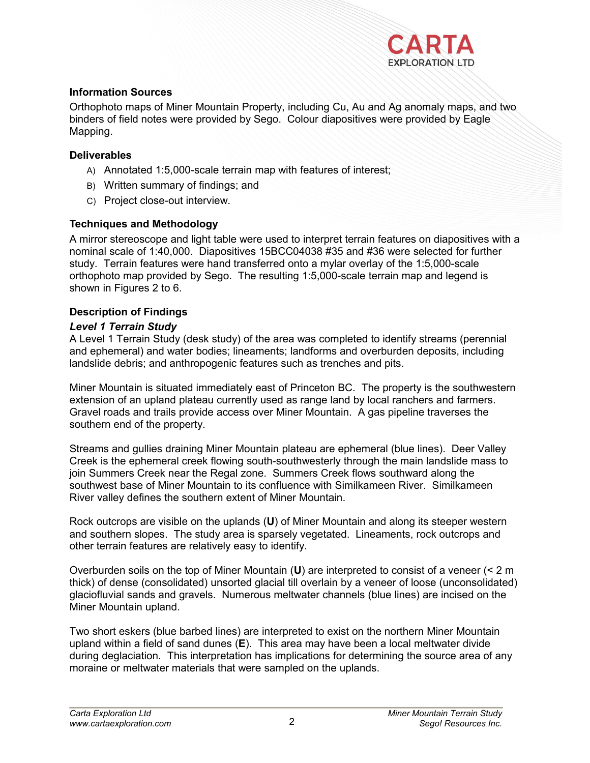

## **Information Sources**

Orthophoto maps of Miner Mountain Property, including Cu, Au and Ag anomaly maps, and two binders of field notes were provided by Sego. Colour diapositives were provided by Eagle Mapping.

## **Deliverables**

- A) Annotated 1:5,000-scale terrain map with features of interest;
- B) Written summary of findings; and
- C) Project close-out interview.

## **Techniques and Methodology**

A mirror stereoscope and light table were used to interpret terrain features on diapositives with a nominal scale of 1:40,000. Diapositives 15BCC04038 #35 and #36 were selected for further study. Terrain features were hand transferred onto a mylar overlay of the 1:5,000-scale orthophoto map provided by Sego. The resulting 1:5,000-scale terrain map and legend is shown in Figures 2 to 6.

# **Description of Findings**

## *Level 1 Terrain Study*

A Level 1 Terrain Study (desk study) of the area was completed to identify streams (perennial and ephemeral) and water bodies; lineaments; landforms and overburden deposits, including landslide debris; and anthropogenic features such as trenches and pits.

Miner Mountain is situated immediately east of Princeton BC. The property is the southwestern extension of an upland plateau currently used as range land by local ranchers and farmers. Gravel roads and trails provide access over Miner Mountain. A gas pipeline traverses the southern end of the property.

Streams and gullies draining Miner Mountain plateau are ephemeral (blue lines). Deer Valley Creek is the ephemeral creek flowing south-southwesterly through the main landslide mass to join Summers Creek near the Regal zone. Summers Creek flows southward along the southwest base of Miner Mountain to its confluence with Similkameen River. Similkameen River valley defines the southern extent of Miner Mountain.

Rock outcrops are visible on the uplands (**U**) of Miner Mountain and along its steeper western and southern slopes. The study area is sparsely vegetated. Lineaments, rock outcrops and other terrain features are relatively easy to identify.

Overburden soils on the top of Miner Mountain (**U**) are interpreted to consist of a veneer (< 2 m thick) of dense (consolidated) unsorted glacial till overlain by a veneer of loose (unconsolidated) glaciofluvial sands and gravels. Numerous meltwater channels (blue lines) are incised on the Miner Mountain upland.

Two short eskers (blue barbed lines) are interpreted to exist on the northern Miner Mountain upland within a field of sand dunes (**E**). This area may have been a local meltwater divide during deglaciation. This interpretation has implications for determining the source area of any moraine or meltwater materials that were sampled on the uplands.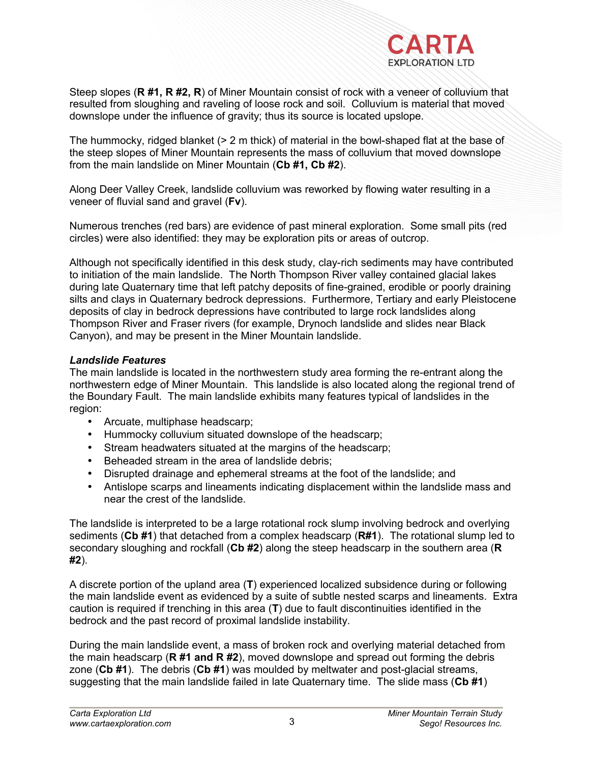

Steep slopes (**R #1, R #2, R**) of Miner Mountain consist of rock with a veneer of colluvium that resulted from sloughing and raveling of loose rock and soil. Colluvium is material that moved downslope under the influence of gravity; thus its source is located upslope.

The hummocky, ridged blanket (> 2 m thick) of material in the bowl-shaped flat at the base of the steep slopes of Miner Mountain represents the mass of colluvium that moved downslope from the main landslide on Miner Mountain (**Cb #1, Cb #2**).

Along Deer Valley Creek, landslide colluvium was reworked by flowing water resulting in a veneer of fluvial sand and gravel (**Fv**).

Numerous trenches (red bars) are evidence of past mineral exploration. Some small pits (red circles) were also identified: they may be exploration pits or areas of outcrop.

Although not specifically identified in this desk study, clay-rich sediments may have contributed to initiation of the main landslide. The North Thompson River valley contained glacial lakes during late Quaternary time that left patchy deposits of fine-grained, erodible or poorly draining silts and clays in Quaternary bedrock depressions. Furthermore, Tertiary and early Pleistocene deposits of clay in bedrock depressions have contributed to large rock landslides along Thompson River and Fraser rivers (for example, Drynoch landslide and slides near Black Canyon), and may be present in the Miner Mountain landslide.

#### *Landslide Features*

The main landslide is located in the northwestern study area forming the re-entrant along the northwestern edge of Miner Mountain. This landslide is also located along the regional trend of the Boundary Fault. The main landslide exhibits many features typical of landslides in the region:

- Arcuate, multiphase headscarp;
- Hummocky colluvium situated downslope of the headscarp;
- Stream headwaters situated at the margins of the headscarp;
- Beheaded stream in the area of landslide debris;
- Disrupted drainage and ephemeral streams at the foot of the landslide; and
- Antislope scarps and lineaments indicating displacement within the landslide mass and near the crest of the landslide.

The landslide is interpreted to be a large rotational rock slump involving bedrock and overlying sediments (**Cb #1**) that detached from a complex headscarp (**R#1**). The rotational slump led to secondary sloughing and rockfall (**Cb #2**) along the steep headscarp in the southern area (**R #2**).

A discrete portion of the upland area (**T**) experienced localized subsidence during or following the main landslide event as evidenced by a suite of subtle nested scarps and lineaments. Extra caution is required if trenching in this area (**T**) due to fault discontinuities identified in the bedrock and the past record of proximal landslide instability.

During the main landslide event, a mass of broken rock and overlying material detached from the main headscarp (**R #1 and R #2**), moved downslope and spread out forming the debris zone (**Cb #1**). The debris (**Cb #1**) was moulded by meltwater and post-glacial streams, suggesting that the main landslide failed in late Quaternary time. The slide mass (**Cb #1**)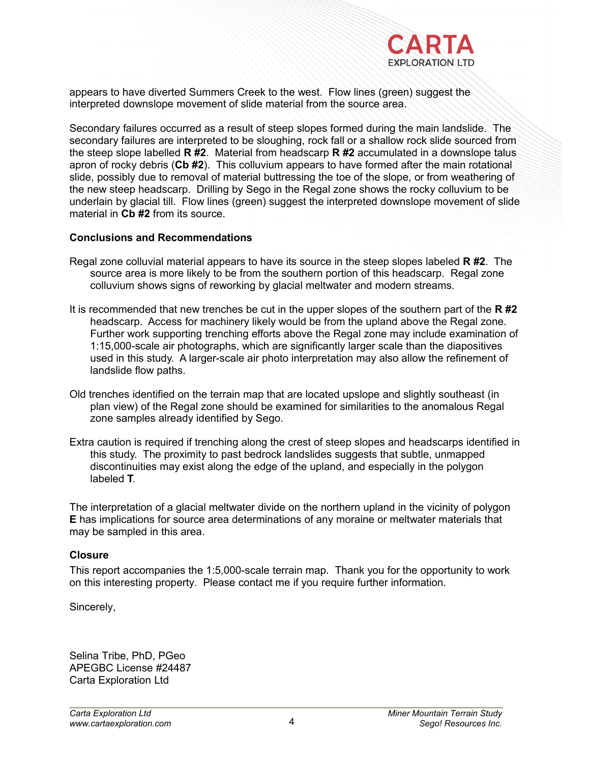

appears to have diverted Summers Creek to the west. Flow lines (green) suggest the interpreted downslope movement of slide material from the source area.

Secondary failures occurred as a result of steep slopes formed during the main landslide. The secondary failures are interpreted to be sloughing, rock fall or a shallow rock slide sourced from the steep slope labelled **R #2**. Material from headscarp **R #2** accumulated in a downslope talus apron of rocky debris (**Cb #2**). This colluvium appears to have formed after the main rotational slide, possibly due to removal of material buttressing the toe of the slope, or from weathering of the new steep headscarp. Drilling by Sego in the Regal zone shows the rocky colluvium to be underlain by glacial till. Flow lines (green) suggest the interpreted downslope movement of slide material in **Cb #2** from its source.

#### **Conclusions and Recommendations**

- Regal zone colluvial material appears to have its source in the steep slopes labeled **R #2**. The source area is more likely to be from the southern portion of this headscarp. Regal zone colluvium shows signs of reworking by glacial meltwater and modern streams.
- It is recommended that new trenches be cut in the upper slopes of the southern part of the **R #2** headscarp. Access for machinery likely would be from the upland above the Regal zone. Further work supporting trenching efforts above the Regal zone may include examination of 1:15,000-scale air photographs, which are significantly larger scale than the diapositives used in this study. A larger-scale air photo interpretation may also allow the refinement of landslide flow paths.
- Old trenches identified on the terrain map that are located upslope and slightly southeast (in plan view) of the Regal zone should be examined for similarities to the anomalous Regal zone samples already identified by Sego.
- Extra caution is required if trenching along the crest of steep slopes and headscarps identified in this study. The proximity to past bedrock landslides suggests that subtle, unmapped discontinuities may exist along the edge of the upland, and especially in the polygon labeled **T**.

The interpretation of a glacial meltwater divide on the northern upland in the vicinity of polygon **E** has implications for source area determinations of any moraine or meltwater materials that may be sampled in this area.

#### **Closure**

This report accompanies the 1:5,000-scale terrain map. Thank you for the opportunity to work on this interesting property. Please contact me if you require further information.

Sincerely,

Selina Tribe, PhD, PGeo APEGBC License #24487 Carta Exploration Ltd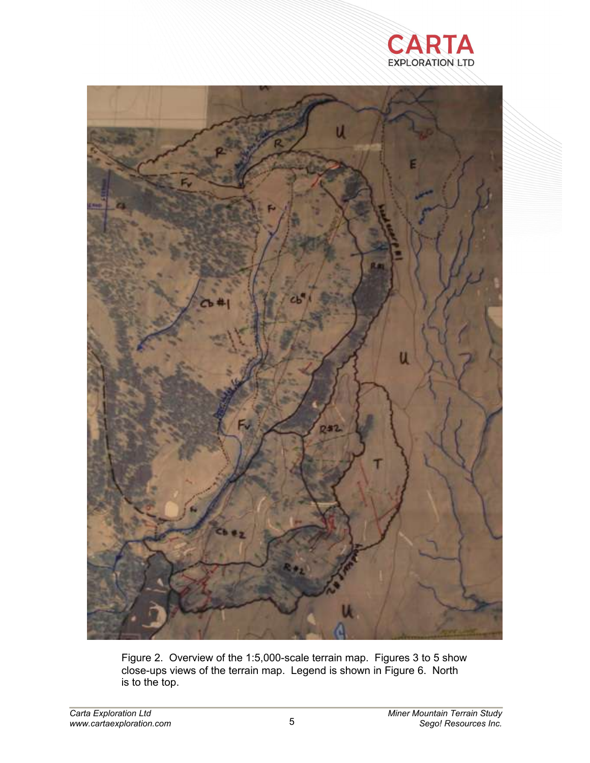



Figure 2. Overview of the 1:5,000-scale terrain map. Figures 3 to 5 show close-ups views of the terrain map. Legend is shown in Figure 6. North is to the top.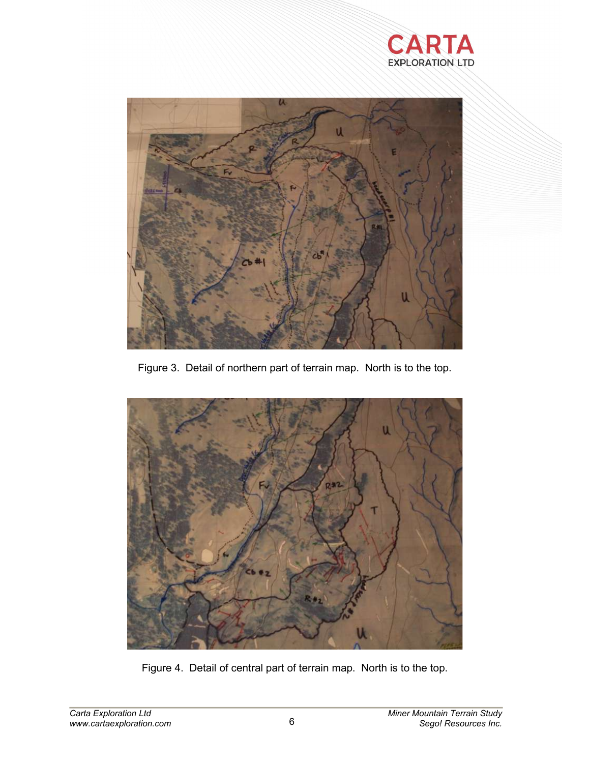



Figure 3. Detail of northern part of terrain map. North is to the top.



Figure 4. Detail of central part of terrain map. North is to the top.